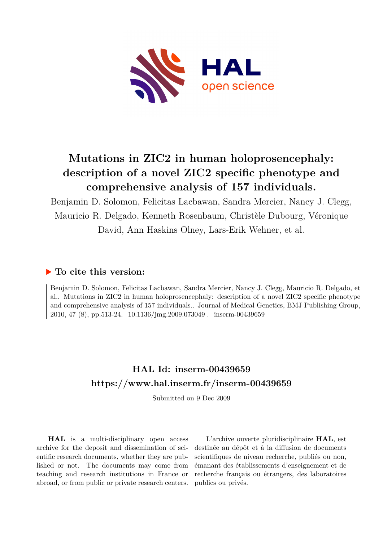

# **Mutations in ZIC2 in human holoprosencephaly: description of a novel ZIC2 specific phenotype and comprehensive analysis of 157 individuals.**

Benjamin D. Solomon, Felicitas Lacbawan, Sandra Mercier, Nancy J. Clegg, Mauricio R. Delgado, Kenneth Rosenbaum, Christèle Dubourg, Véronique David, Ann Haskins Olney, Lars-Erik Wehner, et al.

### **To cite this version:**

Benjamin D. Solomon, Felicitas Lacbawan, Sandra Mercier, Nancy J. Clegg, Mauricio R. Delgado, et al.. Mutations in ZIC2 in human holoprosencephaly: description of a novel ZIC2 specific phenotype and comprehensive analysis of 157 individuals.. Journal of Medical Genetics, BMJ Publishing Group, 2010, 47 (8), pp.513-24. 10.1136/jmg.2009.073049 . inserm-00439659

## **HAL Id: inserm-00439659 <https://www.hal.inserm.fr/inserm-00439659>**

Submitted on 9 Dec 2009

**HAL** is a multi-disciplinary open access archive for the deposit and dissemination of scientific research documents, whether they are published or not. The documents may come from teaching and research institutions in France or abroad, or from public or private research centers.

L'archive ouverte pluridisciplinaire **HAL**, est destinée au dépôt et à la diffusion de documents scientifiques de niveau recherche, publiés ou non, émanant des établissements d'enseignement et de recherche français ou étrangers, des laboratoires publics ou privés.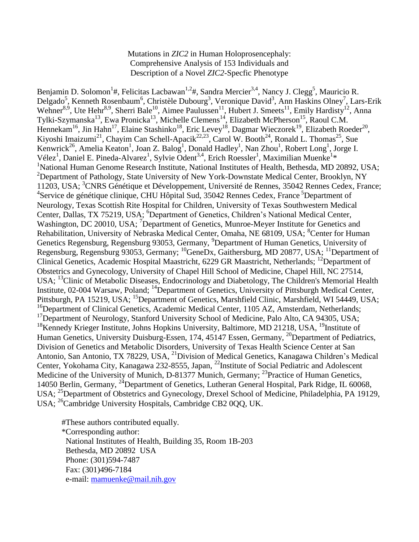Mutations in *ZIC2* in Human Holoprosencephaly: Comprehensive Analysis of 153 Individuals and Description of a Novel *ZIC2*-Specfic Phenotype

Benjamin D. Solomon<sup>1</sup>#, Felicitas Lacbawan<sup>1,2</sup>#, Sandra Mercier<sup>3,4</sup>, Nancy J. Clegg<sup>5</sup>, Mauricio R. Delgado<sup>5</sup>, Kenneth Rosenbaum<sup>6</sup>, Christèle Dubourg<sup>3</sup>, Veronique David<sup>3</sup>, Ann Haskins Olney<sup>7</sup>, Lars-Erik Wehner<sup>8,9</sup>, Ute Hehr<sup>8,9</sup>, Sherri Bale<sup>10</sup>, Aimee Paulussen<sup>11</sup>, Hubert J. Smeets<sup>11</sup>, Emily Hardisty<sup>12</sup>, Anna Tylki-Szymanska<sup>13</sup>, Ewa Pronicka<sup>13</sup>, Michelle Clemens<sup>14</sup>, Elizabeth McPherson<sup>15</sup>, Raoul C.M. Hennekam<sup>16</sup>, Jin Hahn<sup>17</sup>, Elaine Stashinko<sup>18</sup>, Eric Levey<sup>18</sup>, Dagmar Wieczorek<sup>19</sup>, Elizabeth Roeder<sup>20</sup>, Kiyoshi Imaizumi<sup>21</sup>, Chayim Can Schell-Apacik<sup>22,23</sup>, Carol W. Booth<sup>24</sup>, Ronald L. Thomas<sup>25</sup>, Sue Kenwrick<sup>26</sup>, Amelia Keaton<sup>1</sup>, Joan Z. Balog<sup>1</sup>, Donald Hadley<sup>1</sup>, Nan Zhou<sup>1</sup>, Robert Long<sup>1</sup>, Jorge I. Vélez<sup>1</sup>, Daniel E. Pineda-Alvarez<sup>1</sup>, Sylvie Odent<sup>3,4</sup>, Erich Roessler<sup>1</sup>, Maximilian Muenke<sup>1\*</sup> <sup>1</sup>National Human Genome Research Institute, National Institutes of Health, Bethesda, MD 20892, USA; <sup>2</sup>Department of Pathology, State University of New York-Downstate Medical Center, Brooklyn, NY 11203, USA; <sup>3</sup>CNRS Génétique et Développement, Université de Rennes, 35042 Rennes Cedex, France; <sup>4</sup>Service de génétique clinique, CHU Hôpital Sud, 35042 Rennes Cedex, France <sup>5</sup>Department of Neurology, Texas Scottish Rite Hospital for Children, University of Texas Southwestern Medical Center, Dallas, TX 75219, USA; <sup>6</sup>Department of Genetics, Children's National Medical Center, Washington, DC 20010, USA; <sup>7</sup>Department of Genetics, Munroe-Meyer Institute for Genetics and Rehabilitation, University of Nebraska Medical Center, Omaha, NE 68109, USA; <sup>8</sup>Center for Human Genetics Regensburg, Regensburg 93053, Germany, <sup>9</sup>Department of Human Genetics, University of Regensburg, Regensburg 93053, Germany; <sup>10</sup>GeneDx, Gaithersburg, MD 20877, USA; <sup>11</sup>Department of Clinical Genetics, Academic Hospital Maastricht, 6229 GR Maastricht, Netherlands; <sup>12</sup>Department of Obstetrics and Gynecology, University of Chapel Hill School of Medicine, Chapel Hill, NC 27514, USA; <sup>13</sup>Clinic of Metabolic Diseases, Endocrinology and Diabetology, The Children's Memorial Health Institute, 02-004 Warsaw, Poland; <sup>14</sup>Department of Genetics, University of Pittsburgh Medical Center, Pittsburgh, PA 15219, USA; <sup>15</sup>Department of Genetics, Marshfield Clinic, Marshfield, WI 54449, USA; <sup>16</sup>Department of Clinical Genetics, Academic Medical Center, 1105 AZ, Amsterdam, Netherlands; <sup>17</sup>Department of Neurology, Stanford University School of Medicine, Palo Alto, CA 94305, USA; <sup>18</sup>Kennedy Krieger Institute, Johns Hopkins University, Baltimore, MD 21218, USA, <sup>19</sup>Institute of Human Genetics, University Duisburg-Essen, 174, 45147 Essen, Germany, <sup>20</sup>Department of Pediatrics, Division of Genetics and Metabolic Disorders, University of Texas Health Science Center at San Antonio, San Antonio, TX 78229, USA, <sup>21</sup> Division of Medical Genetics, Kanagawa Children's Medical Center, Yokohama City, Kanagawa 232-8555, Japan, <sup>22</sup>Institute of Social Pediatric and Adolescent Medicine of the University of Munich, D-81377 Munich, Germany; <sup>23</sup>Practice of Human Genetics, 14050 Berlin, Germany, <sup>24</sup>Department of Genetics, Lutheran General Hospital, Park Ridge, IL 60068, USA; <sup>25</sup>Department of Obstetrics and Gynecology, Drexel School of Medicine, Philadelphia, PA 19129, USA; <sup>26</sup>Cambridge University Hospitals, Cambridge CB2 000, UK.

#These authors contributed equally. \*Corresponding author: National Institutes of Health, Building 35, Room 1B-203 Bethesda, MD 20892 USA Phone: (301)594-7487 Fax: (301)496-7184 e-mail: [mamuenke@mail.nih.gov](mailto:mamuenke@mail.nih.gov)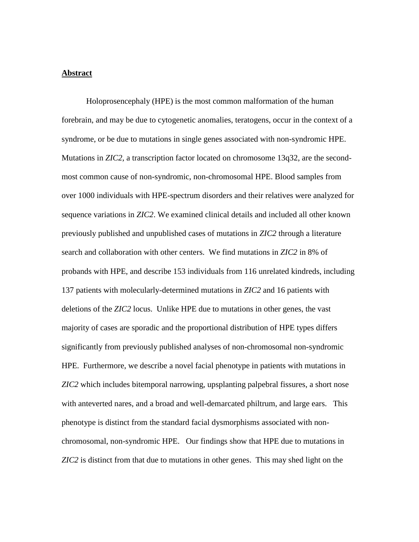#### **Abstract**

Holoprosencephaly (HPE) is the most common malformation of the human forebrain, and may be due to cytogenetic anomalies, teratogens, occur in the context of a syndrome, or be due to mutations in single genes associated with non-syndromic HPE. Mutations in *ZIC2*, a transcription factor located on chromosome 13q32, are the secondmost common cause of non-syndromic, non-chromosomal HPE. Blood samples from over 1000 individuals with HPE-spectrum disorders and their relatives were analyzed for sequence variations in *ZIC2*. We examined clinical details and included all other known previously published and unpublished cases of mutations in *ZIC2* through a literature search and collaboration with other centers. We find mutations in *ZIC2* in 8% of probands with HPE, and describe 153 individuals from 116 unrelated kindreds, including 137 patients with molecularly-determined mutations in *ZIC2* and 16 patients with deletions of the *ZIC2* locus. Unlike HPE due to mutations in other genes, the vast majority of cases are sporadic and the proportional distribution of HPE types differs significantly from previously published analyses of non-chromosomal non-syndromic HPE. Furthermore, we describe a novel facial phenotype in patients with mutations in *ZIC2* which includes bitemporal narrowing, upsplanting palpebral fissures, a short nose with anteverted nares, and a broad and well-demarcated philtrum, and large ears. This phenotype is distinct from the standard facial dysmorphisms associated with nonchromosomal, non-syndromic HPE. Our findings show that HPE due to mutations in *ZIC2* is distinct from that due to mutations in other genes. This may shed light on the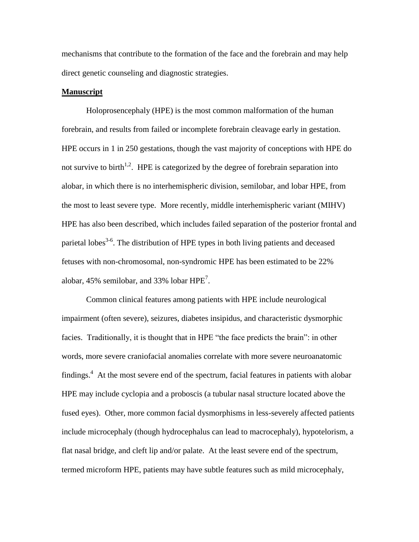mechanisms that contribute to the formation of the face and the forebrain and may help direct genetic counseling and diagnostic strategies.

#### **Manuscript**

Holoprosencephaly (HPE) is the most common malformation of the human forebrain, and results from failed or incomplete forebrain cleavage early in gestation. HPE occurs in 1 in 250 gestations, though the vast majority of conceptions with HPE do not survive to birth<sup>1,2</sup>. HPE is categorized by the degree of forebrain separation into alobar, in which there is no interhemispheric division, semilobar, and lobar HPE, from the most to least severe type. More recently, middle interhemispheric variant (MIHV) HPE has also been described, which includes failed separation of the posterior frontal and parietal lobes<sup>3-6</sup>. The distribution of HPE types in both living patients and deceased fetuses with non-chromosomal, non-syndromic HPE has been estimated to be 22% alobar, 45% semilobar, and 33% lobar  $HPE<sup>7</sup>$ .

Common clinical features among patients with HPE include neurological impairment (often severe), seizures, diabetes insipidus, and characteristic dysmorphic facies. Traditionally, it is thought that in HPE "the face predicts the brain": in other words, more severe craniofacial anomalies correlate with more severe neuroanatomic findings.<sup>4</sup> At the most severe end of the spectrum, facial features in patients with alobar HPE may include cyclopia and a proboscis (a tubular nasal structure located above the fused eyes). Other, more common facial dysmorphisms in less-severely affected patients include microcephaly (though hydrocephalus can lead to macrocephaly), hypotelorism, a flat nasal bridge, and cleft lip and/or palate. At the least severe end of the spectrum, termed microform HPE, patients may have subtle features such as mild microcephaly,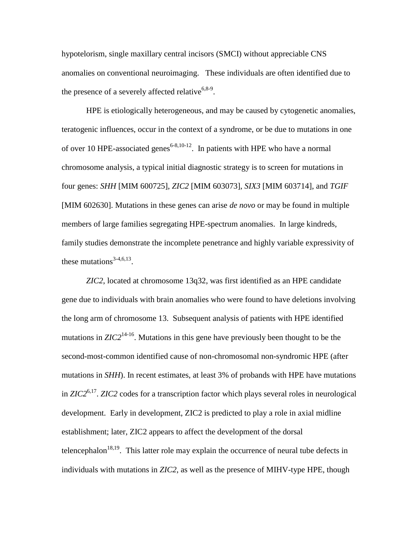hypotelorism, single maxillary central incisors (SMCI) without appreciable CNS anomalies on conventional neuroimaging. These individuals are often identified due to the presence of a severely affected relative<sup>6,8-9</sup>.

HPE is etiologically heterogeneous, and may be caused by cytogenetic anomalies, teratogenic influences, occur in the context of a syndrome, or be due to mutations in one of over 10 HPE-associated genes<sup>6-8,10-12</sup>. In patients with HPE who have a normal chromosome analysis, a typical initial diagnostic strategy is to screen for mutations in four genes: *SHH* [MIM 600725], *ZIC2* [MIM 603073], *SIX3* [MIM 603714], and *TGIF*  [MIM 602630]. Mutations in these genes can arise *de novo* or may be found in multiple members of large families segregating HPE-spectrum anomalies. In large kindreds, family studies demonstrate the incomplete penetrance and highly variable expressivity of these mutations<sup>3-4,6,13</sup>.

*ZIC2*, located at chromosome 13q32, was first identified as an HPE candidate gene due to individuals with brain anomalies who were found to have deletions involving the long arm of chromosome 13. Subsequent analysis of patients with HPE identified mutations in  $ZIC2^{14-16}$ . Mutations in this gene have previously been thought to be the second-most-common identified cause of non-chromosomal non-syndromic HPE (after mutations in *SHH*). In recent estimates, at least 3% of probands with HPE have mutations in *ZIC2*6,17 . *ZIC2* codes for a transcription factor which plays several roles in neurological development. Early in development, ZIC2 is predicted to play a role in axial midline establishment; later, ZIC2 appears to affect the development of the dorsal telencephalon<sup>18,19</sup>. This latter role may explain the occurrence of neural tube defects in individuals with mutations in *ZIC2*, as well as the presence of MIHV-type HPE, though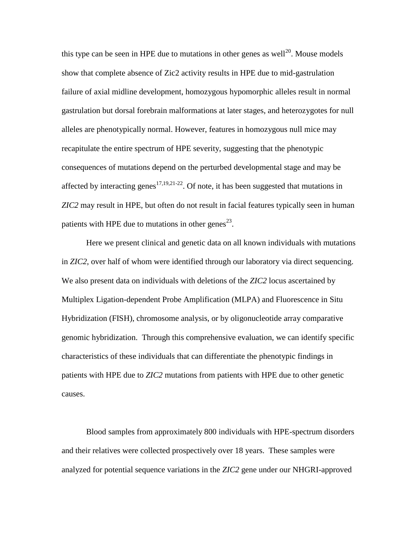this type can be seen in HPE due to mutations in other genes as well<sup>20</sup>. Mouse models show that complete absence of Zic2 activity results in HPE due to mid-gastrulation failure of axial midline development, homozygous hypomorphic alleles result in normal gastrulation but dorsal forebrain malformations at later stages, and heterozygotes for null alleles are phenotypically normal. However, features in homozygous null mice may recapitulate the entire spectrum of HPE severity, suggesting that the phenotypic consequences of mutations depend on the perturbed developmental stage and may be affected by interacting genes<sup>17,19,21-22</sup>. Of note, it has been suggested that mutations in *ZIC2* may result in HPE, but often do not result in facial features typically seen in human patients with HPE due to mutations in other genes<sup>23</sup>.

Here we present clinical and genetic data on all known individuals with mutations in *ZIC2*, over half of whom were identified through our laboratory via direct sequencing. We also present data on individuals with deletions of the *ZIC2* locus ascertained by Multiplex Ligation-dependent Probe Amplification (MLPA) and Fluorescence in Situ Hybridization (FISH), chromosome analysis, or by oligonucleotide array comparative genomic hybridization. Through this comprehensive evaluation, we can identify specific characteristics of these individuals that can differentiate the phenotypic findings in patients with HPE due to *ZIC2* mutations from patients with HPE due to other genetic causes.

Blood samples from approximately 800 individuals with HPE-spectrum disorders and their relatives were collected prospectively over 18 years. These samples were analyzed for potential sequence variations in the *ZIC2* gene under our NHGRI-approved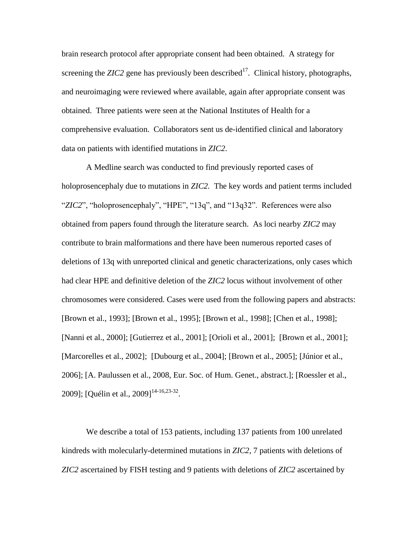brain research protocol after appropriate consent had been obtained. A strategy for screening the *ZIC2* gene has previously been described<sup>17</sup>. Clinical history, photographs, and neuroimaging were reviewed where available, again after appropriate consent was obtained. Three patients were seen at the National Institutes of Health for a comprehensive evaluation. Collaborators sent us de-identified clinical and laboratory data on patients with identified mutations in *ZIC2*.

A Medline search was conducted to find previously reported cases of holoprosencephaly due to mutations in *ZIC2.* The key words and patient terms included "*ZIC2*", "holoprosencephaly", "HPE", "13q", and "13q32". References were also obtained from papers found through the literature search. As loci nearby *ZIC2* may contribute to brain malformations and there have been numerous reported cases of deletions of 13q with unreported clinical and genetic characterizations, only cases which had clear HPE and definitive deletion of the *ZIC2* locus without involvement of other chromosomes were considered. Cases were used from the following papers and abstracts: [Brown et al., 1993]; [Brown et al., 1995]; [Brown et al., 1998]; [Chen et al., 1998]; [Nanni et al., 2000]; [Gutierrez et al., 2001]; [Orioli et al., 2001]; [Brown et al., 2001]; [Marcorelles et al., 2002]; [Dubourg et al., 2004]; [Brown et al., 2005]; [Júnior et al., 2006]; [A. Paulussen et al., 2008, Eur. Soc. of Hum. Genet., abstract.]; [Roessler et al., 2009]; [Quélin et al., 2009]<sup>14-16,23-32</sup>.

We describe a total of 153 patients, including 137 patients from 100 unrelated kindreds with molecularly-determined mutations in *ZIC2*, 7 patients with deletions of *ZIC2* ascertained by FISH testing and 9 patients with deletions of *ZIC2* ascertained by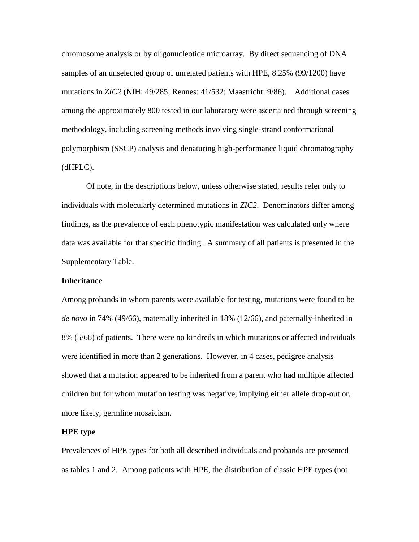chromosome analysis or by oligonucleotide microarray. By direct sequencing of DNA samples of an unselected group of unrelated patients with HPE, 8.25% (99/1200) have mutations in *ZIC2* (NIH: 49/285; Rennes: 41/532; Maastricht: 9/86). Additional cases among the approximately 800 tested in our laboratory were ascertained through screening methodology, including screening methods involving single-strand conformational polymorphism (SSCP) analysis and denaturing high-performance liquid chromatography (dHPLC).

Of note, in the descriptions below, unless otherwise stated, results refer only to individuals with molecularly determined mutations in *ZIC2*. Denominators differ among findings, as the prevalence of each phenotypic manifestation was calculated only where data was available for that specific finding. A summary of all patients is presented in the Supplementary Table.

#### **Inheritance**

Among probands in whom parents were available for testing, mutations were found to be *de novo* in 74% (49/66), maternally inherited in 18% (12/66), and paternally-inherited in 8% (5/66) of patients. There were no kindreds in which mutations or affected individuals were identified in more than 2 generations. However, in 4 cases, pedigree analysis showed that a mutation appeared to be inherited from a parent who had multiple affected children but for whom mutation testing was negative, implying either allele drop-out or, more likely, germline mosaicism.

#### **HPE type**

Prevalences of HPE types for both all described individuals and probands are presented as tables 1 and 2. Among patients with HPE, the distribution of classic HPE types (not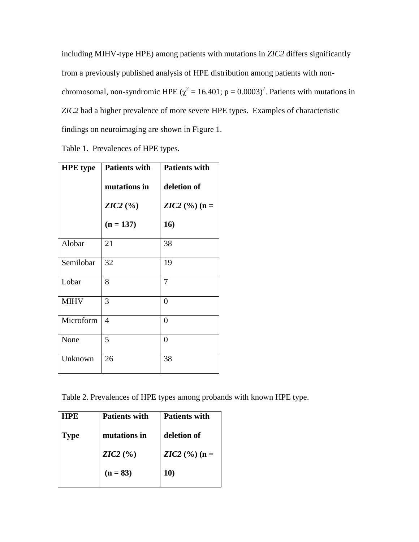including MIHV-type HPE) among patients with mutations in *ZIC2* differs significantly from a previously published analysis of HPE distribution among patients with nonchromosomal, non-syndromic HPE ( $\chi^2$  = 16.401; p = 0.0003)<sup>7</sup>. Patients with mutations in *ZIC2* had a higher prevalence of more severe HPE types. Examples of characteristic findings on neuroimaging are shown in Figure 1.

|  |  | Table 1. Prevalences of HPE types. |
|--|--|------------------------------------|
|--|--|------------------------------------|

| <b>HPE</b> type | <b>Patients with</b> | <b>Patients with</b>    |  |  |  |
|-----------------|----------------------|-------------------------|--|--|--|
|                 | mutations in         | deletion of             |  |  |  |
|                 | $ZIC2$ (%)           | <b>ZIC2</b> (%) ( $n =$ |  |  |  |
|                 | $(n = 137)$          | 16)                     |  |  |  |
| Alobar          | 21                   | 38                      |  |  |  |
| Semilobar       | 32                   | 19                      |  |  |  |
| Lobar           | 8                    | 7                       |  |  |  |
| <b>MIHV</b>     | 3                    | $\overline{0}$          |  |  |  |
| Microform       | 4                    | $\overline{0}$          |  |  |  |
| None            | 5                    | $\overline{0}$          |  |  |  |
| Unknown         | 26                   | 38                      |  |  |  |

Table 2. Prevalences of HPE types among probands with known HPE type.

| <b>HPE</b>  | <b>Patients with</b> | <b>Patients with</b> |
|-------------|----------------------|----------------------|
| <b>Type</b> | mutations in         | deletion of          |
|             | $ZIC2$ (%)           | $ZIC2$ (%) (n =      |
|             | $(n = 83)$           | 10)                  |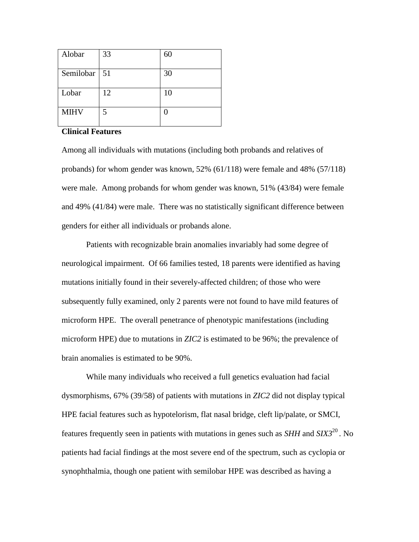| Alobar         | 33 | 60 |
|----------------|----|----|
| Semilobar   51 |    | 30 |
| Lobar          | 12 | 10 |
| <b>MIHV</b>    | 5  |    |

#### **Clinical Features**

Among all individuals with mutations (including both probands and relatives of probands) for whom gender was known, 52% (61/118) were female and 48% (57/118) were male. Among probands for whom gender was known, 51% (43/84) were female and 49% (41/84) were male. There was no statistically significant difference between genders for either all individuals or probands alone.

Patients with recognizable brain anomalies invariably had some degree of neurological impairment. Of 66 families tested, 18 parents were identified as having mutations initially found in their severely-affected children; of those who were subsequently fully examined, only 2 parents were not found to have mild features of microform HPE. The overall penetrance of phenotypic manifestations (including microform HPE) due to mutations in *ZIC2* is estimated to be 96%; the prevalence of brain anomalies is estimated to be 90%.

While many individuals who received a full genetics evaluation had facial dysmorphisms, 67% (39/58) of patients with mutations in *ZIC2* did not display typical HPE facial features such as hypotelorism, flat nasal bridge, cleft lip/palate, or SMCI, features frequently seen in patients with mutations in genes such as *SHH* and *SIX3*<sup>20</sup> *.* No patients had facial findings at the most severe end of the spectrum, such as cyclopia or synophthalmia, though one patient with semilobar HPE was described as having a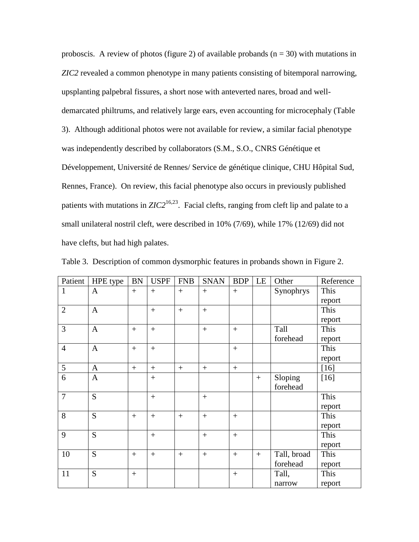proboscis. A review of photos (figure 2) of available probands ( $n = 30$ ) with mutations in *ZIC2* revealed a common phenotype in many patients consisting of bitemporal narrowing, upsplanting palpebral fissures, a short nose with anteverted nares, broad and welldemarcated philtrums, and relatively large ears, even accounting for microcephaly (Table 3). Although additional photos were not available for review, a similar facial phenotype was independently described by collaborators (S.M., S.O., CNRS Génétique et Développement, Université de Rennes/ Service de génétique clinique, CHU Hôpital Sud, Rennes, France). On review, this facial phenotype also occurs in previously published patients with mutations in *ZIC2*<sup>16,23</sup>. Facial clefts, ranging from cleft lip and palate to a small unilateral nostril cleft, were described in 10% (7/69), while 17% (12/69) did not have clefts, but had high palates.

| Patient        | HPE type     | <b>BN</b> | <b>USPF</b> | <b>FNB</b> | <b>SNAN</b> | <b>BDP</b> | LE  | Other       | Reference |
|----------------|--------------|-----------|-------------|------------|-------------|------------|-----|-------------|-----------|
| $\mathbf{1}$   | $\mathbf{A}$ | $+$       | $+$         | $+$        | $+$         | $+$        |     | Synophrys   | This      |
|                |              |           |             |            |             |            |     |             | report    |
| $\overline{2}$ | $\mathbf{A}$ |           | $+$         | $+$        | $+$         |            |     |             | This      |
|                |              |           |             |            |             |            |     |             | report    |
| $\overline{3}$ | $\mathbf{A}$ | $+$       | $+$         |            | $+$         | $+$        |     | Tall        | This      |
|                |              |           |             |            |             |            |     | forehead    | report    |
| $\overline{4}$ | $\mathbf{A}$ | $+$       | $+$         |            |             | $+$        |     |             | This      |
|                |              |           |             |            |             |            |     |             | report    |
| 5              | $\mathbf{A}$ | $+$       | $+$         | $^{+}$     | $+$         | $+$        |     |             | $[16]$    |
| 6              | $\mathbf{A}$ |           | $+$         |            |             |            | $+$ | Sloping     | $[16]$    |
|                |              |           |             |            |             |            |     | forehead    |           |
| $\overline{7}$ | S            |           | $+$         |            | $+$         |            |     |             | This      |
|                |              |           |             |            |             |            |     |             | report    |
| 8              | S            | $+$       | $+$         | $+$        | $+$         | $+$        |     |             | This      |
|                |              |           |             |            |             |            |     |             | report    |
| 9              | S            |           | $+$         |            | $+$         | $+$        |     |             | This      |
|                |              |           |             |            |             |            |     |             | report    |
| 10             | S            | $+$       | $+$         | $^{+}$     | $+$         | $+$        | $+$ | Tall, broad | This      |
|                |              |           |             |            |             |            |     | forehead    | report    |
| 11             | S            | $+$       |             |            |             | $+$        |     | Tall,       | This      |
|                |              |           |             |            |             |            |     | narrow      | report    |

Table 3. Description of common dysmorphic features in probands shown in Figure 2.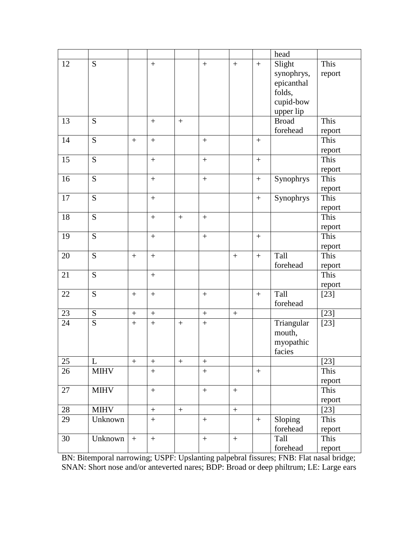|          |                             |                   |                  |                  |                   |                  |                   | head                |        |
|----------|-----------------------------|-------------------|------------------|------------------|-------------------|------------------|-------------------|---------------------|--------|
| 12       | S                           |                   | $\boldsymbol{+}$ |                  | $+$               | $\boldsymbol{+}$ | $+$               | Slight              | This   |
|          |                             |                   |                  |                  |                   |                  |                   | synophrys,          | report |
|          |                             |                   |                  |                  |                   |                  |                   | epicanthal          |        |
|          |                             |                   |                  |                  |                   |                  |                   | folds,              |        |
|          |                             |                   |                  |                  |                   |                  |                   | cupid-bow           |        |
|          |                             |                   |                  |                  |                   |                  |                   | upper lip           |        |
| 13       | S                           |                   | $+$              | $+$              |                   |                  |                   | <b>Broad</b>        | This   |
|          |                             |                   |                  |                  |                   |                  |                   | forehead            | report |
| 14       | S                           |                   | $\boldsymbol{+}$ |                  | $\boldsymbol{+}$  |                  | $\boldsymbol{+}$  |                     | This   |
|          |                             |                   |                  |                  |                   |                  |                   |                     | report |
| 15       | $\overline{S}$              |                   | $^{+}$           |                  | $\ddot{}$         |                  | $+$               |                     | This   |
|          |                             |                   |                  |                  |                   |                  |                   |                     | report |
| 16       | S                           |                   | $\boldsymbol{+}$ |                  | $\! + \!$         |                  | $\boldsymbol{+}$  | Synophrys           | This   |
|          |                             |                   |                  |                  |                   |                  |                   |                     | report |
| 17       | S                           |                   | $+$              |                  |                   |                  | $+$               | Synophrys           | This   |
|          |                             |                   |                  |                  |                   |                  |                   |                     | report |
| 18       | S                           |                   | $\boldsymbol{+}$ | $+$              | $\boldsymbol{+}$  |                  |                   |                     | This   |
|          |                             |                   |                  |                  |                   |                  |                   |                     | report |
| 19       | S                           |                   | $\boldsymbol{+}$ |                  | $\qquad \qquad +$ |                  | $+$               |                     | This   |
|          |                             |                   |                  |                  |                   |                  |                   |                     | report |
| 20       | S                           | $+$               | $+$              |                  |                   | $\boldsymbol{+}$ | $\boldsymbol{+}$  | Tall                | This   |
|          |                             |                   |                  |                  |                   |                  |                   | forehead            | report |
| 21       | S                           |                   | $+$              |                  |                   |                  |                   |                     | This   |
|          |                             |                   |                  |                  |                   |                  |                   |                     | report |
| 22       | S                           |                   | $\boldsymbol{+}$ |                  | $^{+}$            |                  | $+$               | Tall                | $[23]$ |
|          |                             |                   |                  |                  |                   |                  |                   | forehead            |        |
| 23<br>24 | ${\bf S}$<br>$\overline{S}$ | $+$               | $\boldsymbol{+}$ |                  | $\qquad \qquad +$ | $\boldsymbol{+}$ |                   |                     | $[23]$ |
|          |                             | $+$               | $\ddot{}$        | $+$              | $\ddot{}$         |                  |                   | Triangular          | $[23]$ |
|          |                             |                   |                  |                  |                   |                  |                   | mouth,              |        |
|          |                             |                   |                  |                  |                   |                  |                   | myopathic<br>facies |        |
| 25       | L                           | $\qquad \qquad +$ |                  |                  | $\boldsymbol{+}$  |                  |                   |                     | $[23]$ |
| 26       | <b>MIHV</b>                 |                   | $\boldsymbol{+}$ | $\boldsymbol{+}$ |                   |                  |                   |                     | This   |
|          |                             |                   | $\overline{+}$   |                  | $\boldsymbol{+}$  |                  | $\boldsymbol{+}$  |                     | report |
| 27       | <b>MIHV</b>                 |                   | $\boldsymbol{+}$ |                  | $\boldsymbol{+}$  | $+$              |                   |                     | This   |
|          |                             |                   |                  |                  |                   |                  |                   |                     | report |
| 28       | <b>MIHV</b>                 |                   | $\boldsymbol{+}$ | $\boldsymbol{+}$ |                   | $\boldsymbol{+}$ |                   |                     | $[23]$ |
| 29       | Unknown                     |                   | $\boldsymbol{+}$ |                  | $\boldsymbol{+}$  |                  | $\qquad \qquad +$ | Sloping             | This   |
|          |                             |                   |                  |                  |                   |                  |                   | forehead            | report |
| 30       | Unknown                     | $+$               | $\boldsymbol{+}$ |                  | $\boldsymbol{+}$  | $\boldsymbol{+}$ |                   | Tall                | This   |
|          |                             |                   |                  |                  |                   |                  |                   | forehead            | report |
|          |                             |                   |                  |                  |                   |                  |                   |                     |        |

BN: Bitemporal narrowing; USPF: Upslanting palpebral fissures; FNB: Flat nasal bridge; SNAN: Short nose and/or anteverted nares; BDP: Broad or deep philtrum; LE: Large ears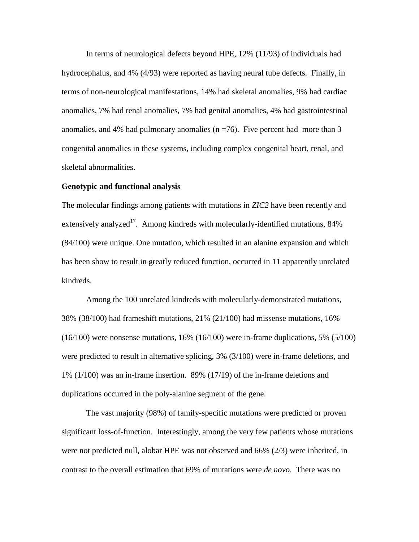In terms of neurological defects beyond HPE, 12% (11/93) of individuals had hydrocephalus, and 4% (4/93) were reported as having neural tube defects. Finally, in terms of non-neurological manifestations, 14% had skeletal anomalies, 9% had cardiac anomalies, 7% had renal anomalies, 7% had genital anomalies, 4% had gastrointestinal anomalies, and 4% had pulmonary anomalies  $(n = 76)$ . Five percent had more than 3 congenital anomalies in these systems, including complex congenital heart, renal, and skeletal abnormalities.

#### **Genotypic and functional analysis**

The molecular findings among patients with mutations in *ZIC2* have been recently and extensively analyzed<sup>17</sup>. Among kindreds with molecularly-identified mutations, 84% (84/100) were unique. One mutation, which resulted in an alanine expansion and which has been show to result in greatly reduced function, occurred in 11 apparently unrelated kindreds.

Among the 100 unrelated kindreds with molecularly-demonstrated mutations, 38% (38/100) had frameshift mutations, 21% (21/100) had missense mutations, 16% (16/100) were nonsense mutations, 16% (16/100) were in-frame duplications, 5% (5/100) were predicted to result in alternative splicing, 3% (3/100) were in-frame deletions, and 1% (1/100) was an in-frame insertion. 89% (17/19) of the in-frame deletions and duplications occurred in the poly-alanine segment of the gene.

The vast majority (98%) of family-specific mutations were predicted or proven significant loss-of-function. Interestingly, among the very few patients whose mutations were not predicted null, alobar HPE was not observed and 66% (2/3) were inherited, in contrast to the overall estimation that 69% of mutations were *de novo*. There was no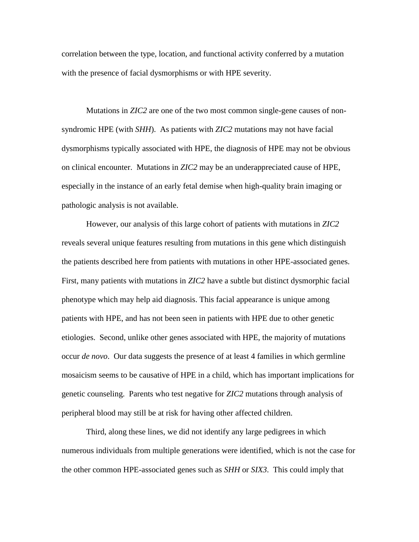correlation between the type, location, and functional activity conferred by a mutation with the presence of facial dysmorphisms or with HPE severity.

Mutations in *ZIC2* are one of the two most common single-gene causes of nonsyndromic HPE (with *SHH*). As patients with *ZIC2* mutations may not have facial dysmorphisms typically associated with HPE, the diagnosis of HPE may not be obvious on clinical encounter. Mutations in *ZIC2* may be an underappreciated cause of HPE, especially in the instance of an early fetal demise when high-quality brain imaging or pathologic analysis is not available.

However, our analysis of this large cohort of patients with mutations in *ZIC2* reveals several unique features resulting from mutations in this gene which distinguish the patients described here from patients with mutations in other HPE-associated genes. First, many patients with mutations in *ZIC2* have a subtle but distinct dysmorphic facial phenotype which may help aid diagnosis. This facial appearance is unique among patients with HPE, and has not been seen in patients with HPE due to other genetic etiologies. Second, unlike other genes associated with HPE, the majority of mutations occur *de novo*. Our data suggests the presence of at least 4 families in which germline mosaicism seems to be causative of HPE in a child, which has important implications for genetic counseling. Parents who test negative for *ZIC2* mutations through analysis of peripheral blood may still be at risk for having other affected children.

Third, along these lines, we did not identify any large pedigrees in which numerous individuals from multiple generations were identified, which is not the case for the other common HPE-associated genes such as *SHH* or *SIX3*. This could imply that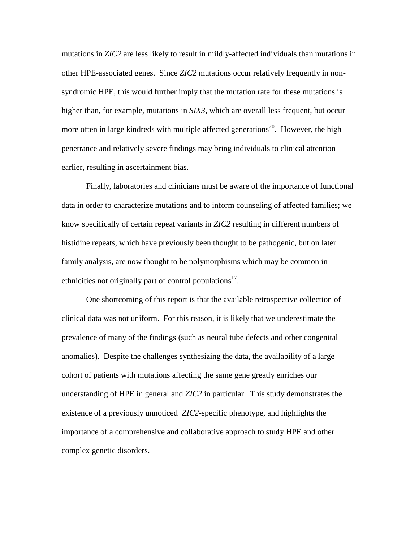mutations in *ZIC2* are less likely to result in mildly-affected individuals than mutations in other HPE-associated genes. Since *ZIC2* mutations occur relatively frequently in nonsyndromic HPE, this would further imply that the mutation rate for these mutations is higher than, for example, mutations in *SIX3*, which are overall less frequent, but occur more often in large kindreds with multiple affected generations<sup>20</sup>. However, the high penetrance and relatively severe findings may bring individuals to clinical attention earlier, resulting in ascertainment bias.

Finally, laboratories and clinicians must be aware of the importance of functional data in order to characterize mutations and to inform counseling of affected families; we know specifically of certain repeat variants in *ZIC2* resulting in different numbers of histidine repeats, which have previously been thought to be pathogenic, but on later family analysis, are now thought to be polymorphisms which may be common in ethnicities not originally part of control populations $17$ .

One shortcoming of this report is that the available retrospective collection of clinical data was not uniform. For this reason, it is likely that we underestimate the prevalence of many of the findings (such as neural tube defects and other congenital anomalies). Despite the challenges synthesizing the data, the availability of a large cohort of patients with mutations affecting the same gene greatly enriches our understanding of HPE in general and *ZIC2* in particular. This study demonstrates the existence of a previously unnoticed *ZIC2*-specific phenotype, and highlights the importance of a comprehensive and collaborative approach to study HPE and other complex genetic disorders.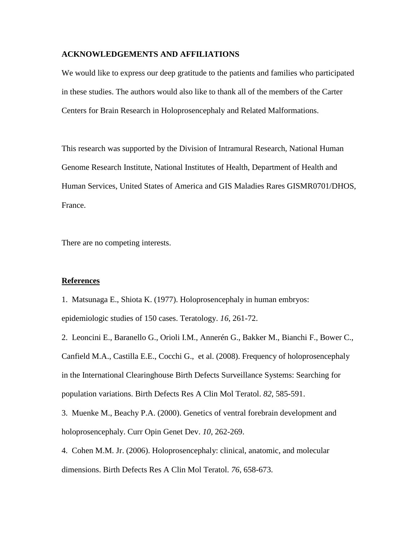#### **ACKNOWLEDGEMENTS AND AFFILIATIONS**

We would like to express our deep gratitude to the patients and families who participated in these studies. The authors would also like to thank all of the members of the Carter Centers for Brain Research in Holoprosencephaly and Related Malformations.

This research was supported by the Division of Intramural Research, National Human Genome Research Institute, National Institutes of Health, Department of Health and Human Services, United States of America and GIS Maladies Rares GISMR0701/DHOS, France.

There are no competing interests.

#### **References**

1. Matsunaga E., Shiota K. (1977). Holoprosencephaly in human embryos: epidemiologic studies of 150 cases. Teratology. *16*, 261-72.

2. Leoncini E., Baranello G., Orioli I.M., Annerén G., Bakker M., Bianchi F., Bower C., Canfield M.A., Castilla E.E., Cocchi G., et al. (2008). Frequency of holoprosencephaly in the International Clearinghouse Birth Defects Surveillance Systems: Searching for population variations. Birth Defects Res A Clin Mol Teratol. *82*, 585-591.

3. Muenke M., Beachy P.A. (2000). Genetics of ventral forebrain development and holoprosencephaly. Curr Opin Genet Dev. *10*, 262-269.

4. Cohen M.M. Jr. (2006). Holoprosencephaly: clinical, anatomic, and molecular dimensions. Birth Defects Res A Clin Mol Teratol. *76*, 658-673.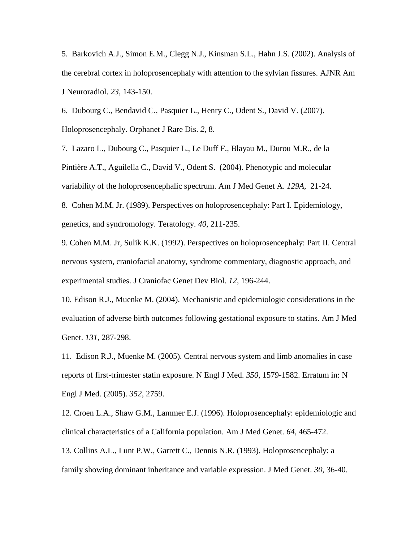5. Barkovich A.J., Simon E.M., Clegg N.J., Kinsman S.L., Hahn J.S. (2002). Analysis of the cerebral cortex in holoprosencephaly with attention to the sylvian fissures. AJNR Am J Neuroradiol. *23*, 143-150.

6. Dubourg C., Bendavid C., Pasquier L., Henry C., Odent S., David V. (2007). Holoprosencephaly. Orphanet J Rare Dis. *2*, 8.

7. Lazaro L., Dubourg C., Pasquier L., Le Duff F., Blayau M., Durou M.R., de la Pintière A.T., Aguilella C., David V., Odent S. (2004). Phenotypic and molecular variability of the holoprosencephalic spectrum. Am J Med Genet A. *129A*, 21-24.

8. Cohen M.M. Jr. (1989). Perspectives on holoprosencephaly: Part I. Epidemiology, genetics, and syndromology. Teratology. *40*, 211-235.

9. Cohen M.M. Jr, Sulik K.K. (1992). Perspectives on holoprosencephaly: Part II. Central nervous system, craniofacial anatomy, syndrome commentary, diagnostic approach, and experimental studies. J Craniofac Genet Dev Biol. *12*, 196-244.

10. Edison R.J., Muenke M. (2004). Mechanistic and epidemiologic considerations in the evaluation of adverse birth outcomes following gestational exposure to statins. Am J Med Genet. *131*, 287-298.

11. Edison R.J., Muenke M. (2005). Central nervous system and limb anomalies in case reports of first-trimester statin exposure. N Engl J Med. *350*, 1579-1582. Erratum in: N Engl J Med. (2005). *352*, 2759.

12. Croen L.A., Shaw G.M., Lammer E.J. (1996). Holoprosencephaly: epidemiologic and clinical characteristics of a California population. Am J Med Genet. *64*, 465-472.

13. Collins A.L., Lunt P.W., Garrett C., Dennis N.R. (1993). Holoprosencephaly: a family showing dominant inheritance and variable expression. J Med Genet. *30*, 36-40.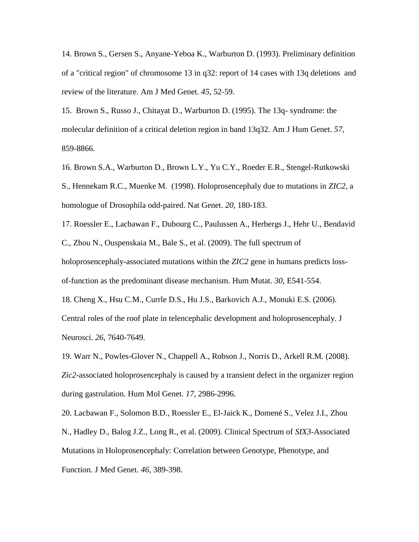14. Brown S., Gersen S., Anyane-Yeboa K., Warburton D. (1993). Preliminary definition of a "critical region" of chromosome 13 in q32: report of 14 cases with 13q deletions and review of the literature. Am J Med Genet. *45*, 52-59.

15. Brown S., Russo J., Chitayat D., Warburton D. (1995). The 13q- syndrome: the molecular definition of a critical deletion region in band 13q32. Am J Hum Genet. *57*, 859-8866.

16. Brown S.A., Warburton D., Brown L.Y., Yu C.Y., Roeder E.R., Stengel-Rutkowski S., Hennekam R.C., Muenke M. (1998). Holoprosencephaly due to mutations in *ZIC2*, a homologue of Drosophila odd-paired. Nat Genet. *20*, 180-183.

17. Roessler E., Lacbawan F., Dubourg C., Paulussen A., Herbergs J., Hehr U., Bendavid C., Zhou N., Ouspenskaia M., Bale S., et al. (2009). The full spectrum of holoprosencephaly-associated mutations within the *ZIC2* gene in humans predicts lossof-function as the predominant disease mechanism. Hum Mutat. *30*, E541-554. 18. Cheng X., Hsu C.M., Currle D.S., Hu J.S., Barkovich A.J., Monuki E.S. (2006).

Central roles of the roof plate in telencephalic development and holoprosencephaly. J Neurosci. *26*, 7640-7649.

19. Warr N., Powles-Glover N., Chappell A., Robson J., Norris D., Arkell R.M. (2008). *Zic2*-associated holoprosencephaly is caused by a transient defect in the organizer region during gastrulation. Hum Mol Genet. *17*, 2986-2996.

20. Lacbawan F., Solomon B.D., Roessler E., El-Jaick K., Domené S., Velez J.I., Zhou N., Hadley D., Balog J.Z., Long R., et al. (2009). Clinical Spectrum of *SIX3*-Associated Mutations in Holoprosencephaly: Correlation between Genotype, Phenotype, and Function. J Med Genet. *46*, 389-398.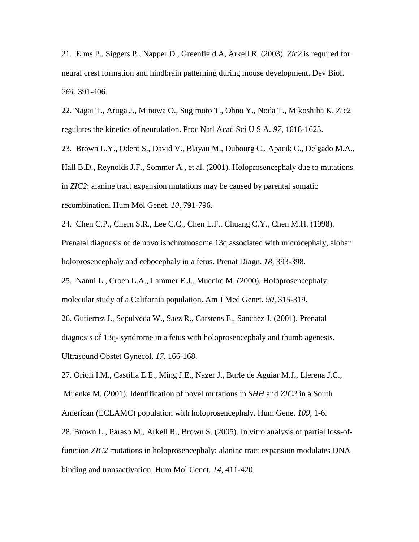21. Elms P., Siggers P., Napper D., Greenfield A, Arkell R. (2003). *Zic2* is required for neural crest formation and hindbrain patterning during mouse development. Dev Biol. *264*, 391-406.

22. Nagai T., Aruga J., Minowa O., Sugimoto T., Ohno Y., Noda T., Mikoshiba K. Zic2 regulates the kinetics of neurulation. Proc Natl Acad Sci U S A. *97*, 1618-1623.

23. Brown L.Y., Odent S., David V., Blayau M., Dubourg C., Apacik C., Delgado M.A., Hall B.D., Reynolds J.F., Sommer A., et al. (2001). Holoprosencephaly due to mutations in *ZIC2*: alanine tract expansion mutations may be caused by parental somatic recombination. Hum Mol Genet. *10*, 791-796.

24. Chen C.P., Chern S.R., Lee C.C., Chen L.F., Chuang C.Y., Chen M.H. (1998). Prenatal diagnosis of de novo isochromosome 13q associated with microcephaly, alobar holoprosencephaly and cebocephaly in a fetus. Prenat Diagn. *18*, 393-398.

25. Nanni L., Croen L.A., Lammer E.J., Muenke M. (2000). Holoprosencephaly: molecular study of a California population. Am J Med Genet. *90*, 315-319.

26. Gutierrez J., Sepulveda W., Saez R., Carstens E., Sanchez J. (2001). Prenatal diagnosis of 13q- syndrome in a fetus with holoprosencephaly and thumb agenesis. Ultrasound Obstet Gynecol. *17*, 166-168.

27. Orioli I.M., Castilla E.E., Ming J.E., Nazer J., Burle de Aguiar M.J., Llerena J.C., Muenke M. (2001). Identification of novel mutations in *SHH* and *ZIC2* in a South American (ECLAMC) population with holoprosencephaly. Hum Gene. *109*, 1-6.

28. Brown L., Paraso M., Arkell R., Brown S. (2005). In vitro analysis of partial loss-offunction *ZIC2* mutations in holoprosencephaly: alanine tract expansion modulates DNA binding and transactivation. Hum Mol Genet. *14*, 411-420.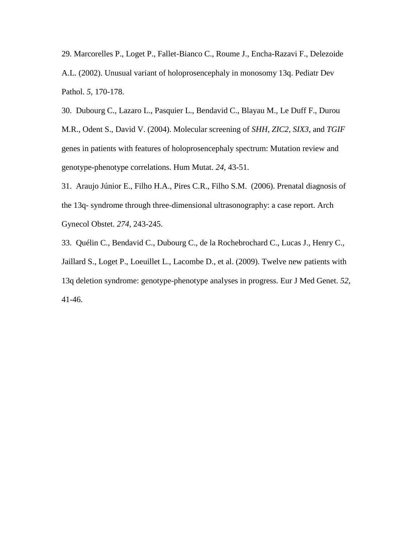29. Marcorelles P., Loget P., Fallet-Bianco C., Roume J., Encha-Razavi F., Delezoide A.L. (2002). Unusual variant of holoprosencephaly in monosomy 13q. Pediatr Dev Pathol. *5*, 170-178.

30. Dubourg C., Lazaro L., Pasquier L., Bendavid C., Blayau M., Le Duff F., Durou M.R., Odent S., David V. (2004). Molecular screening of *SHH*, *ZIC2*, *SIX3*, and *TGIF* genes in patients with features of holoprosencephaly spectrum: Mutation review and genotype-phenotype correlations. Hum Mutat. *24*, 43-51.

31. Araujo Júnior E., Filho H.A., Pires C.R., Filho S.M. (2006). Prenatal diagnosis of the 13q- syndrome through three-dimensional ultrasonography: a case report. Arch Gynecol Obstet. *274*, 243-245.

33. Quélin C., Bendavid C., Dubourg C., de la Rochebrochard C., Lucas J., Henry C., Jaillard S., Loget P., Loeuillet L., Lacombe D., et al. (2009). Twelve new patients with 13q deletion syndrome: genotype-phenotype analyses in progress. Eur J Med Genet. *52*, 41-46.